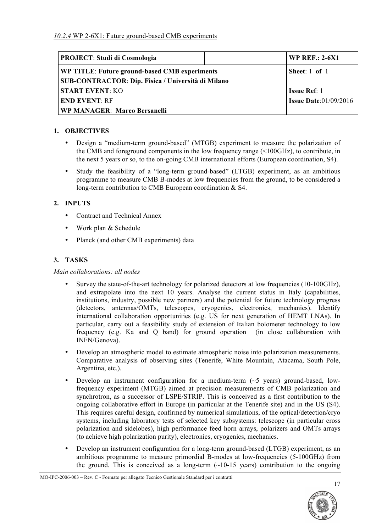| <b>PROJECT: Studi di Cosmologia</b>                       | <b>WP REF.: 2-6X1</b>        |
|-----------------------------------------------------------|------------------------------|
| WP TITLE: Future ground-based CMB experiments             | Sheet: $1$ of $1$            |
| <b>SUB-CONTRACTOR: Dip. Fisica / Università di Milano</b> |                              |
| <b>START EVENT: KO</b>                                    | <b>Issue Ref</b> : 1         |
| <b>END EVENT: RF</b>                                      | <b>Issue Date:01/09/2016</b> |
| <b>WP MANAGER: Marco Bersanelli</b>                       |                              |

# **1. OBJECTIVES**

- Design a "medium-term ground-based" (MTGB) experiment to measure the polarization of the CMB and foreground components in the low frequency range (<100GHz), to contribute, in the next 5 years or so, to the on-going CMB international efforts (European coordination, S4).
- Study the feasibility of a "long-term ground-based" (LTGB) experiment, as an ambitious programme to measure CMB B-modes at low frequencies from the ground, to be considered a long-term contribution to CMB European coordination & S4.

# **2. INPUTS**

- Contract and Technical Annex
- Work plan & Schedule
- Planck (and other CMB experiments) data

# **3. TASKS**

### *Main collaborations: all nodes*

- Survey the state-of-the-art technology for polarized detectors at low frequencies (10-100GHz), and extrapolate into the next 10 years. Analyse the current status in Italy (capabilities, institutions, industry, possible new partners) and the potential for future technology progress (detectors, antennas/OMTs, telescopes, cryogenics, electronics, mechanics). Identify international collaboration opportunities (e.g. US for next generation of HEMT LNAs). In particular, carry out a feasibility study of extension of Italian bolometer technology to low frequency (e.g. Ka and Q band) for ground operation (in close collaboration with INFN/Genova).
- Develop an atmospheric model to estimate atmospheric noise into polarization measurements. Comparative analysis of observing sites (Tenerife, White Mountain, Atacama, South Pole, Argentina, etc.).
- Develop an instrument configuration for a medium-term  $(\sim 5 \text{ years})$  ground-based, lowfrequency experiment (MTGB) aimed at precision measurements of CMB polarization and synchrotron, as a successor of LSPE/STRIP. This is conceived as a first contribution to the ongoing collaborative effort in Europe (in particular at the Tenerife site) and in the US (S4). This requires careful design, confirmed by numerical simulations, of the optical/detection/cryo systems, including laboratory tests of selected key subsystems: telescope (in particular cross polarization and sidelobes), high performance feed horn arrays, polarizers and OMTs arrays (to achieve high polarization purity), electronics, cryogenics, mechanics.
- Develop an instrument configuration for a long-term ground-based (LTGB) experiment, as an ambitious programme to measure primordial B-modes at low-frequencies (5-100GHz) from the ground. This is conceived as a long-term  $(\sim 10-15$  years) contribution to the ongoing

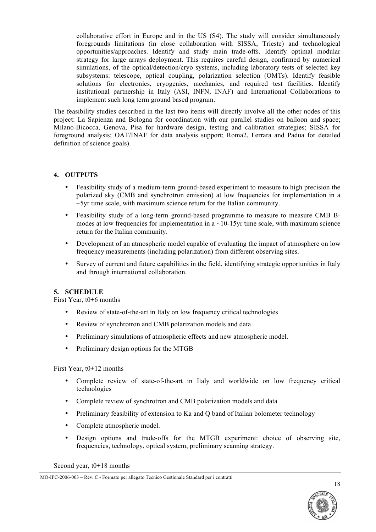collaborative effort in Europe and in the US (S4). The study will consider simultaneously foregrounds limitations (in close collaboration with SISSA, Trieste) and technological opportunities/approaches. Identify and study main trade-offs. Identify optimal modular strategy for large arrays deployment. This requires careful design, confirmed by numerical simulations, of the optical/detection/cryo systems, including laboratory tests of selected key subsystems: telescope, optical coupling, polarization selection (OMTs). Identify feasible solutions for electronics, cryogenics, mechanics, and required test facilities. Identify institutional partnership in Italy (ASI, INFN, INAF) and International Collaborations to implement such long term ground based program.

The feasibility studies described in the last two items will directly involve all the other nodes of this project: La Sapienza and Bologna for coordination with our parallel studies on balloon and space; Milano-Bicocca, Genova, Pisa for hardware design, testing and calibration strategies; SISSA for foreground analysis; OAT/INAF for data analysis support; Roma2, Ferrara and Padua for detailed definition of science goals).

#### **4. OUTPUTS**

- Feasibility study of a medium-term ground-based experiment to measure to high precision the polarized sky (CMB and synchrotron emission) at low frequencies for implementation in a  $\sim$ 5yr time scale, with maximum science return for the Italian community.
- Feasibility study of a long-term ground-based programme to measure to measure CMB Bmodes at low frequencies for implementation in  $a \sim 10-15$  v time scale, with maximum science return for the Italian community.
- Development of an atmospheric model capable of evaluating the impact of atmosphere on low frequency measurements (including polarization) from different observing sites.
- Survey of current and future capabilities in the field, identifying strategic opportunities in Italy and through international collaboration.

### **5. SCHEDULE**

First Year, t0+6 months

- Review of state-of-the-art in Italy on low frequency critical technologies
- Review of synchrotron and CMB polarization models and data
- Preliminary simulations of atmospheric effects and new atmospheric model.
- Preliminary design options for the MTGB

#### First Year, t0+12 months

- Complete review of state-of-the-art in Italy and worldwide on low frequency critical technologies
- Complete review of synchrotron and CMB polarization models and data
- Preliminary feasibility of extension to Ka and O band of Italian bolometer technology
- Complete atmospheric model.
- Design options and trade-offs for the MTGB experiment: choice of observing site, frequencies, technology, optical system, preliminary scanning strategy.

Second year, t0+18 months



MO-IPC-2006-003 – Rev. C - Formato per allegato Tecnico Gestionale Standard per i contratti